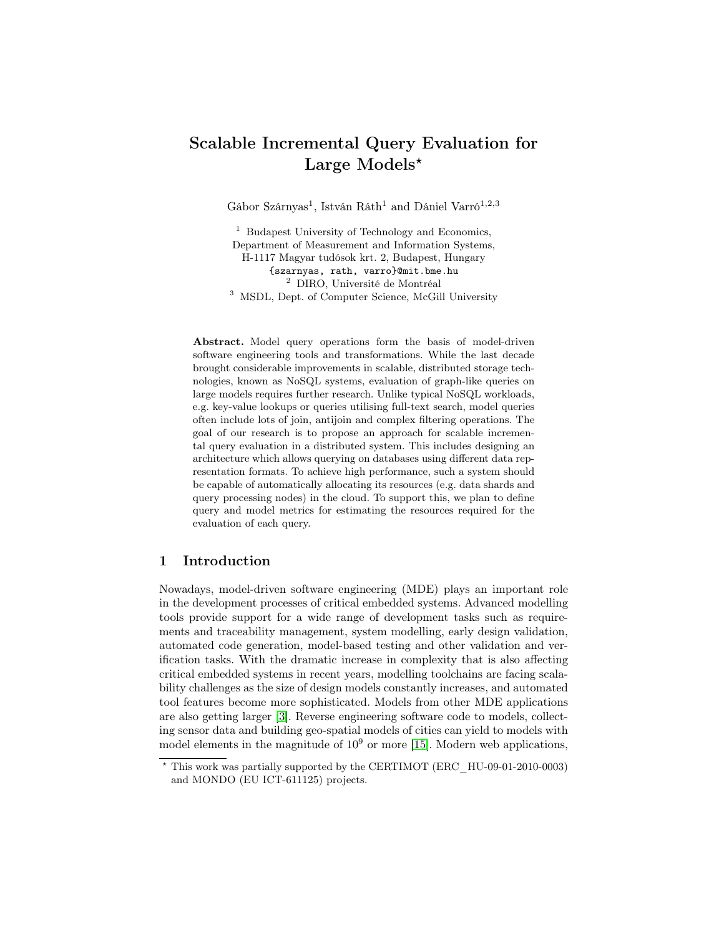# Scalable Incremental Query Evaluation for Large Models\*

Gábor Szárnyas<sup>1</sup>, István Ráth<sup>1</sup> and Dániel Varró<sup>1,2,3</sup>

<sup>1</sup> Budapest University of Technology and Economics, Department of Measurement and Information Systems, H-1117 Magyar tudósok krt. 2, Budapest, Hungary {szarnyas, rath, varro}@mit.bme.hu <sup>2</sup> DIRO, Université de Montréal <sup>3</sup> MSDL, Dept. of Computer Science, McGill University

Abstract. Model query operations form the basis of model-driven software engineering tools and transformations. While the last decade brought considerable improvements in scalable, distributed storage technologies, known as NoSQL systems, evaluation of graph-like queries on large models requires further research. Unlike typical NoSQL workloads, e.g. key-value lookups or queries utilising full-text search, model queries often include lots of join, antijoin and complex filtering operations. The goal of our research is to propose an approach for scalable incremental query evaluation in a distributed system. This includes designing an architecture which allows querying on databases using different data representation formats. To achieve high performance, such a system should be capable of automatically allocating its resources (e.g. data shards and query processing nodes) in the cloud. To support this, we plan to define query and model metrics for estimating the resources required for the evaluation of each query.

### 1 Introduction

Nowadays, model-driven software engineering (MDE) plays an important role in the development processes of critical embedded systems. Advanced modelling tools provide support for a wide range of development tasks such as requirements and traceability management, system modelling, early design validation, automated code generation, model-based testing and other validation and verification tasks. With the dramatic increase in complexity that is also affecting critical embedded systems in recent years, modelling toolchains are facing scalability challenges as the size of design models constantly increases, and automated tool features become more sophisticated. Models from other MDE applications are also getting larger [\[3\]](#page-5-0). Reverse engineering software code to models, collecting sensor data and building geo-spatial models of cities can yield to models with model elements in the magnitude of  $10^9$  or more [\[15\]](#page-5-1). Modern web applications,

<sup>?</sup> This work was partially supported by the CERTIMOT (ERC\_HU-09-01-2010-0003) and MONDO (EU ICT-611125) projects.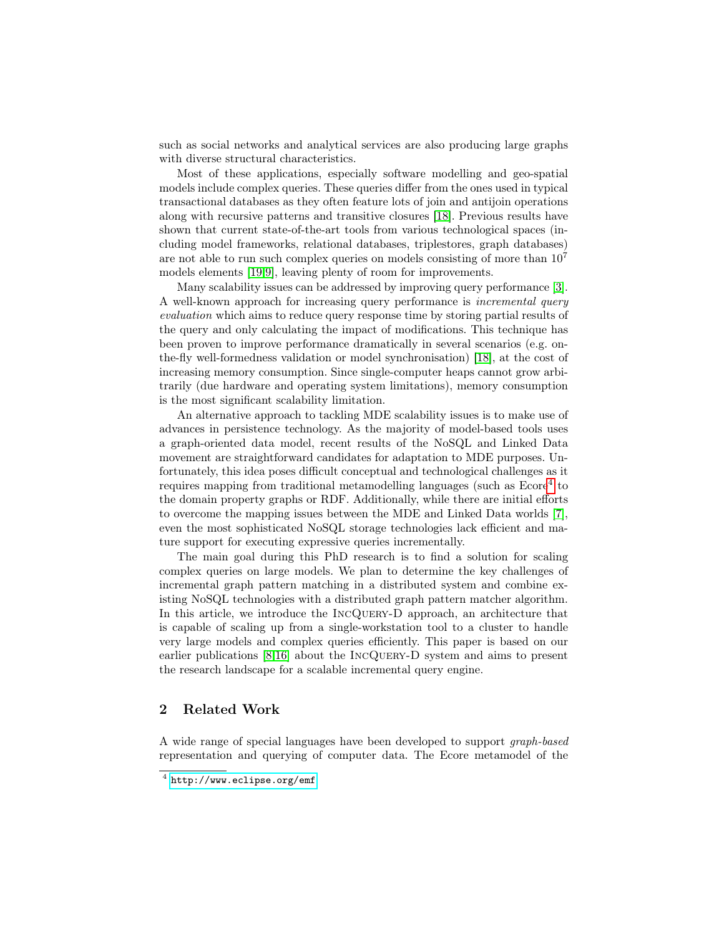such as social networks and analytical services are also producing large graphs with diverse structural characteristics.

Most of these applications, especially software modelling and geo-spatial models include complex queries. These queries differ from the ones used in typical transactional databases as they often feature lots of join and antijoin operations along with recursive patterns and transitive closures [\[18\]](#page-5-2). Previous results have shown that current state-of-the-art tools from various technological spaces (including model frameworks, relational databases, triplestores, graph databases) are not able to run such complex queries on models consisting of more than  $10<sup>7</sup>$ models elements [\[19,](#page-5-3)[9\]](#page-5-4), leaving plenty of room for improvements.

Many scalability issues can be addressed by improving query performance [\[3\]](#page-5-0). A well-known approach for increasing query performance is incremental query evaluation which aims to reduce query response time by storing partial results of the query and only calculating the impact of modifications. This technique has been proven to improve performance dramatically in several scenarios (e.g. onthe-fly well-formedness validation or model synchronisation) [\[18\]](#page-5-2), at the cost of increasing memory consumption. Since single-computer heaps cannot grow arbitrarily (due hardware and operating system limitations), memory consumption is the most significant scalability limitation.

An alternative approach to tackling MDE scalability issues is to make use of advances in persistence technology. As the majority of model-based tools uses a graph-oriented data model, recent results of the NoSQL and Linked Data movement are straightforward candidates for adaptation to MDE purposes. Unfortunately, this idea poses difficult conceptual and technological challenges as it requires mapping from traditional metamodelling languages (such as Ecore<sup>[4](#page-1-0)</sup> to the domain property graphs or RDF. Additionally, while there are initial efforts to overcome the mapping issues between the MDE and Linked Data worlds [\[7\]](#page-5-5), even the most sophisticated NoSQL storage technologies lack efficient and mature support for executing expressive queries incrementally.

The main goal during this PhD research is to find a solution for scaling complex queries on large models. We plan to determine the key challenges of incremental graph pattern matching in a distributed system and combine existing NoSQL technologies with a distributed graph pattern matcher algorithm. In this article, we introduce the IncQuery-D approach, an architecture that is capable of scaling up from a single-workstation tool to a cluster to handle very large models and complex queries efficiently. This paper is based on our earlier publications [\[8,](#page-5-6)[16\]](#page-5-7) about the IncQuery-D system and aims to present the research landscape for a scalable incremental query engine.

# 2 Related Work

A wide range of special languages have been developed to support graph-based representation and querying of computer data. The Ecore metamodel of the

<span id="page-1-0"></span> $^4$  <http://www.eclipse.org/emf>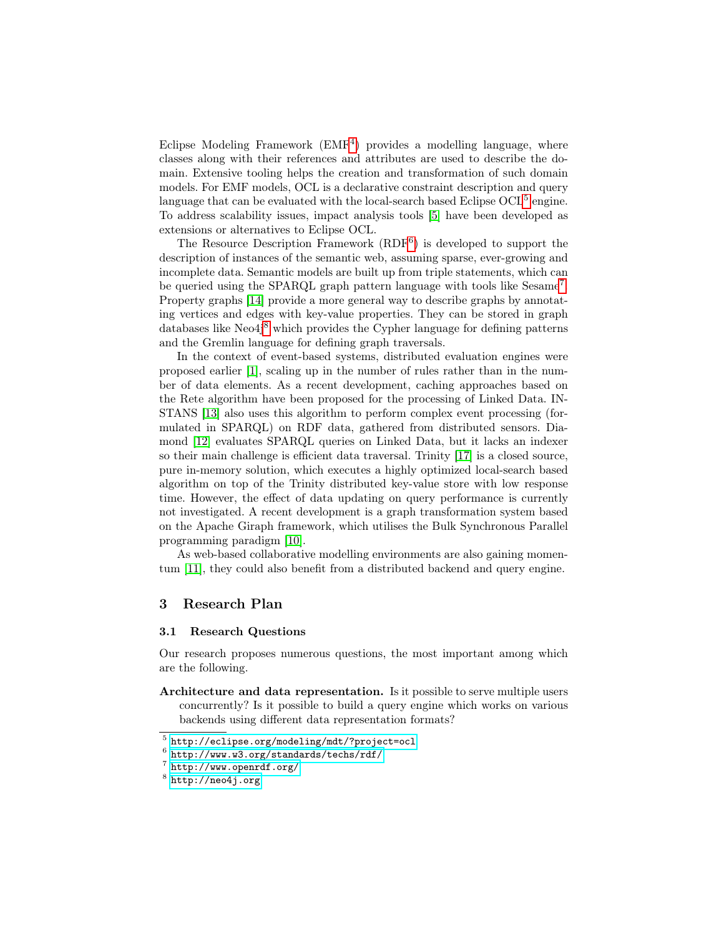Eclipse Modeling Framework (EMF<sup>[4](#page-1-0)</sup>) provides a modelling language, where classes along with their references and attributes are used to describe the domain. Extensive tooling helps the creation and transformation of such domain models. For EMF models, OCL is a declarative constraint description and query language that can be evaluated with the local-search based Eclipse  $OCL<sup>5</sup>$  $OCL<sup>5</sup>$  $OCL<sup>5</sup>$  engine. To address scalability issues, impact analysis tools [\[5\]](#page-5-8) have been developed as extensions or alternatives to Eclipse OCL.

The Resource Description Framework (RDF<sup>[6](#page-2-1)</sup>) is developed to support the description of instances of the semantic web, assuming sparse, ever-growing and incomplete data. Semantic models are built up from triple statements, which can be queried using the SPARQL graph pattern language with tools like Sesame<sup>[7](#page-2-2)</sup>. Property graphs [\[14\]](#page-5-9) provide a more general way to describe graphs by annotating vertices and edges with key-value properties. They can be stored in graph databases like  $Neo4j<sup>8</sup>$  $Neo4j<sup>8</sup>$  $Neo4j<sup>8</sup>$  which provides the Cypher language for defining patterns and the Gremlin language for defining graph traversals.

In the context of event-based systems, distributed evaluation engines were proposed earlier [\[1\]](#page-5-10), scaling up in the number of rules rather than in the number of data elements. As a recent development, caching approaches based on the Rete algorithm have been proposed for the processing of Linked Data. IN-STANS [\[13\]](#page-5-11) also uses this algorithm to perform complex event processing (formulated in SPARQL) on RDF data, gathered from distributed sensors. Diamond [\[12\]](#page-5-12) evaluates SPARQL queries on Linked Data, but it lacks an indexer so their main challenge is efficient data traversal. Trinity [\[17\]](#page-5-13) is a closed source, pure in-memory solution, which executes a highly optimized local-search based algorithm on top of the Trinity distributed key-value store with low response time. However, the effect of data updating on query performance is currently not investigated. A recent development is a graph transformation system based on the Apache Giraph framework, which utilises the Bulk Synchronous Parallel programming paradigm [\[10\]](#page-5-14).

As web-based collaborative modelling environments are also gaining momentum [\[11\]](#page-5-15), they could also benefit from a distributed backend and query engine.

### 3 Research Plan

#### 3.1 Research Questions

Our research proposes numerous questions, the most important among which are the following.

Architecture and data representation. Is it possible to serve multiple users concurrently? Is it possible to build a query engine which works on various backends using different data representation formats?

<span id="page-2-0"></span><sup>5</sup> <http://eclipse.org/modeling/mdt/?project=ocl>

<span id="page-2-1"></span> $^6$  <http://www.w3.org/standards/techs/rdf/>

<span id="page-2-2"></span> $7$  <http://www.openrdf.org/>

<span id="page-2-3"></span> $^8$  <http://neo4j.org>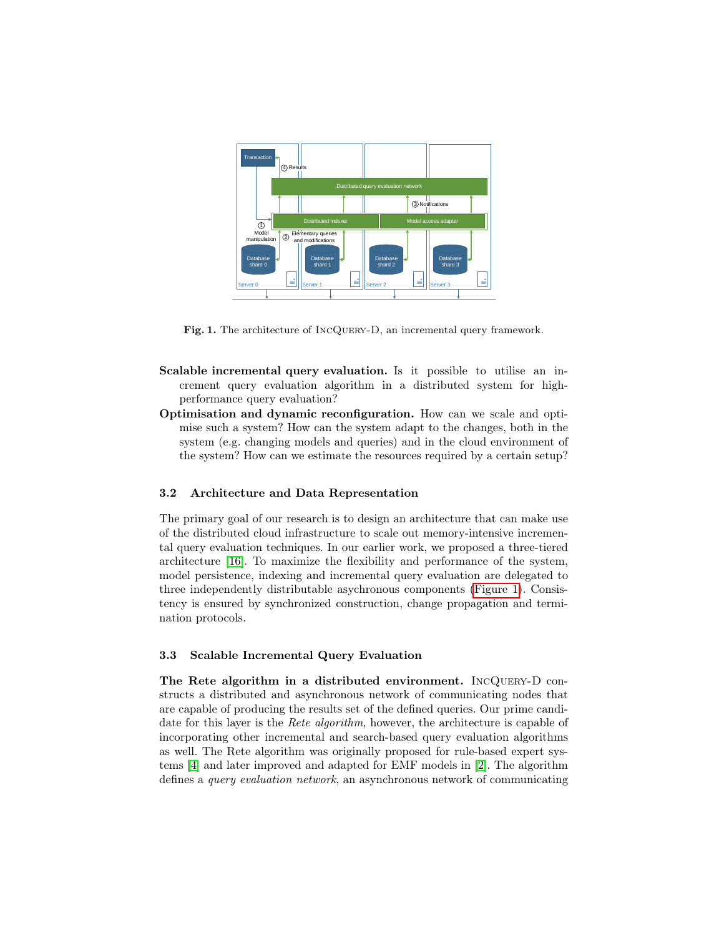

<span id="page-3-0"></span>Fig. 1. The architecture of INCQUERY-D, an incremental query framework.

- Scalable incremental query evaluation. Is it possible to utilise an increment query evaluation algorithm in a distributed system for highperformance query evaluation?
- Optimisation and dynamic reconfiguration. How can we scale and optimise such a system? How can the system adapt to the changes, both in the system (e.g. changing models and queries) and in the cloud environment of the system? How can we estimate the resources required by a certain setup?

## 3.2 Architecture and Data Representation

The primary goal of our research is to design an architecture that can make use of the distributed cloud infrastructure to scale out memory-intensive incremental query evaluation techniques. In our earlier work, we proposed a three-tiered architecture [\[16\]](#page-5-7). To maximize the flexibility and performance of the system, model persistence, indexing and incremental query evaluation are delegated to three independently distributable asychronous components [\(Figure 1\)](#page-3-0). Consistency is ensured by synchronized construction, change propagation and termination protocols.

#### 3.3 Scalable Incremental Query Evaluation

The Rete algorithm in a distributed environment. IncQuery-D constructs a distributed and asynchronous network of communicating nodes that are capable of producing the results set of the defined queries. Our prime candidate for this layer is the *Rete algorithm*, however, the architecture is capable of incorporating other incremental and search-based query evaluation algorithms as well. The Rete algorithm was originally proposed for rule-based expert systems [\[4\]](#page-5-16) and later improved and adapted for EMF models in [\[2\]](#page-5-17). The algorithm defines a query evaluation network, an asynchronous network of communicating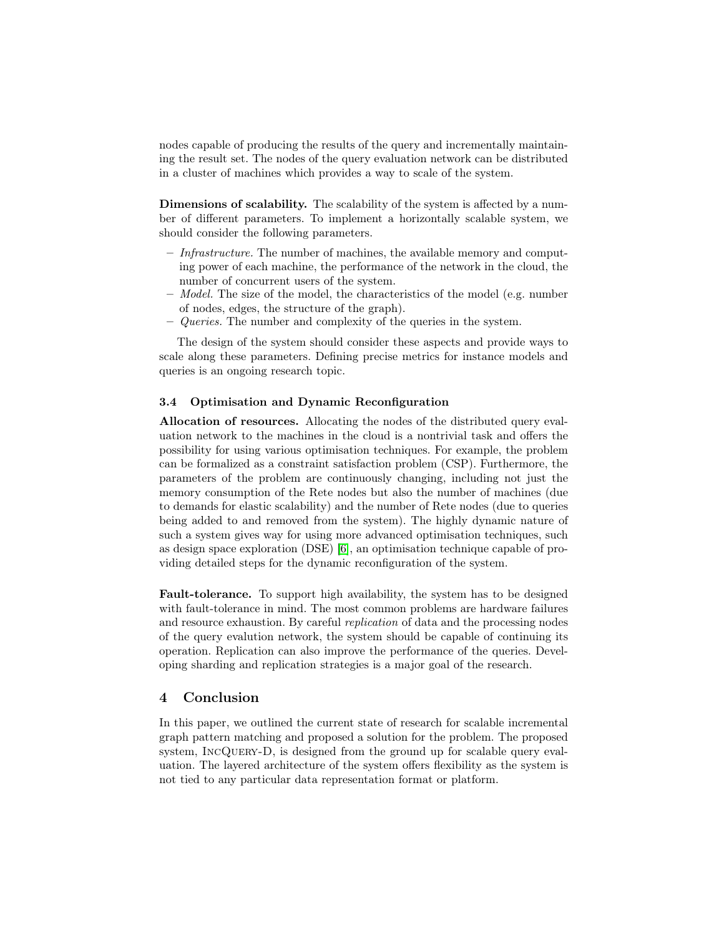nodes capable of producing the results of the query and incrementally maintaining the result set. The nodes of the query evaluation network can be distributed in a cluster of machines which provides a way to scale of the system.

Dimensions of scalability. The scalability of the system is affected by a number of different parameters. To implement a horizontally scalable system, we should consider the following parameters.

- $-$  *Infrastructure*. The number of machines, the available memory and computing power of each machine, the performance of the network in the cloud, the number of concurrent users of the system.
- $-$  *Model.* The size of the model, the characteristics of the model (e.g. number of nodes, edges, the structure of the graph).
- $-$  *Queries*. The number and complexity of the queries in the system.

The design of the system should consider these aspects and provide ways to scale along these parameters. Defining precise metrics for instance models and queries is an ongoing research topic.

#### 3.4 Optimisation and Dynamic Reconfiguration

Allocation of resources. Allocating the nodes of the distributed query evaluation network to the machines in the cloud is a nontrivial task and offers the possibility for using various optimisation techniques. For example, the problem can be formalized as a constraint satisfaction problem (CSP). Furthermore, the parameters of the problem are continuously changing, including not just the memory consumption of the Rete nodes but also the number of machines (due to demands for elastic scalability) and the number of Rete nodes (due to queries being added to and removed from the system). The highly dynamic nature of such a system gives way for using more advanced optimisation techniques, such as design space exploration (DSE) [\[6\]](#page-5-18), an optimisation technique capable of providing detailed steps for the dynamic reconfiguration of the system.

Fault-tolerance. To support high availability, the system has to be designed with fault-tolerance in mind. The most common problems are hardware failures and resource exhaustion. By careful replication of data and the processing nodes of the query evalution network, the system should be capable of continuing its operation. Replication can also improve the performance of the queries. Developing sharding and replication strategies is a major goal of the research.

# 4 Conclusion

In this paper, we outlined the current state of research for scalable incremental graph pattern matching and proposed a solution for the problem. The proposed system, INCQUERY-D, is designed from the ground up for scalable query evaluation. The layered architecture of the system offers flexibility as the system is not tied to any particular data representation format or platform.